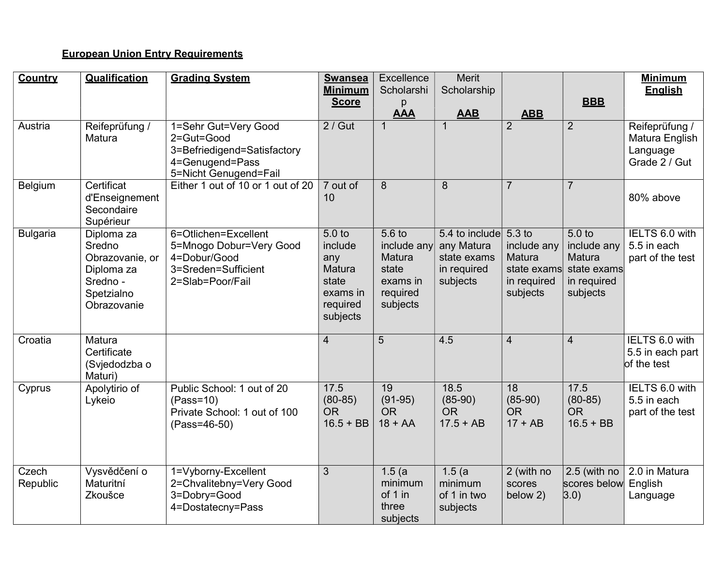## **European Union Entry Requirements**

| Country           | <b>Qualification</b>                                                                           | <b>Grading System</b>                                                                                         | <b>Swansea</b><br><b>Minimum</b><br><b>Score</b>                                                  | Excellence<br>Scholarshi<br>р                                                           | <b>Merit</b><br>Scholarship                                                   |                                                                 | <b>BBB</b>                                                                           | <b>Minimum</b><br><b>English</b>                              |
|-------------------|------------------------------------------------------------------------------------------------|---------------------------------------------------------------------------------------------------------------|---------------------------------------------------------------------------------------------------|-----------------------------------------------------------------------------------------|-------------------------------------------------------------------------------|-----------------------------------------------------------------|--------------------------------------------------------------------------------------|---------------------------------------------------------------|
|                   |                                                                                                |                                                                                                               |                                                                                                   | <b>AAA</b>                                                                              | <b>AAB</b>                                                                    | <b>ABB</b>                                                      |                                                                                      |                                                               |
| Austria           | Reifeprüfung /<br>Matura                                                                       | 1=Sehr Gut=Very Good<br>2=Gut=Good<br>3=Befriedigend=Satisfactory<br>4=Genugend=Pass<br>5=Nicht Genugend=Fail | $2/$ Gut                                                                                          | $\mathbf 1$                                                                             |                                                                               | $\overline{2}$                                                  | 2                                                                                    | Reifeprüfung /<br>Matura English<br>Language<br>Grade 2 / Gut |
| Belgium           | Certificat<br>d'Enseignement<br>Secondaire<br>Supérieur                                        | Either 1 out of 10 or 1 out of 20                                                                             | 7 out of<br>10                                                                                    | 8                                                                                       | 8                                                                             | $\overline{7}$                                                  | $\overline{7}$                                                                       | 80% above                                                     |
| <b>Bulgaria</b>   | Diploma za<br>Sredno<br>Obrazovanie, or<br>Diploma za<br>Sredno -<br>Spetzialno<br>Obrazovanie | 6=Otlichen=Excellent<br>5=Mnogo Dobur=Very Good<br>4=Dobur/Good<br>3=Sreden=Sufficient<br>2=Slab=Poor/Fail    | 5.0 <sub>to</sub><br>include<br>any<br><b>Matura</b><br>state<br>exams in<br>required<br>subjects | 5.6 <sub>to</sub><br>include any<br>Matura<br>state<br>exams in<br>required<br>subjects | 5.4 to include 5.3 to<br>any Matura<br>state exams<br>in required<br>subjects | include any<br>Matura<br>state exams<br>in required<br>subjects | 5.0 <sub>to</sub><br>include any<br>Matura<br>state exams<br>in required<br>subjects | IELTS 6.0 with<br>5.5 in each<br>part of the test             |
| Croatia           | Matura<br>Certificate<br>(Svjedodzba o<br>Maturi)                                              |                                                                                                               | $\overline{4}$                                                                                    | 5                                                                                       | 4.5                                                                           | $\overline{4}$                                                  | $\overline{4}$                                                                       | IELTS 6.0 with<br>5.5 in each part<br>of the test             |
| Cyprus            | Apolytirio of<br>Lykeio                                                                        | Public School: 1 out of 20<br>$(Pass=10)$<br>Private School: 1 out of 100<br>(Pass=46-50)                     | 17.5<br>$(80 - 85)$<br><b>OR</b><br>$16.5 + BB$                                                   | 19<br>$(91-95)$<br><b>OR</b><br>$18 + AA$                                               | 18.5<br>$(85-90)$<br><b>OR</b><br>$17.5 + AB$                                 | 18<br>$(85-90)$<br><b>OR</b><br>$17 + AB$                       | 17.5<br>$(80-85)$<br><b>OR</b><br>$16.5 + BB$                                        | IELTS 6.0 with<br>5.5 in each<br>part of the test             |
| Czech<br>Republic | Vysvědčení o<br>Maturitní<br>Zkoušce                                                           | 1=Vyborny-Excellent<br>2=Chvalitebny=Very Good<br>3=Dobry=Good<br>4=Dostatecny=Pass                           | $\overline{3}$                                                                                    | 1.5(a)<br>minimum<br>of 1 in<br>three<br>subjects                                       | 1.5(a)<br>minimum<br>of 1 in two<br>subjects                                  | 2 (with no<br>scores<br>below 2)                                | 2.5 (with no<br>scores below<br>3.0)                                                 | 2.0 in Matura<br>English<br>Language                          |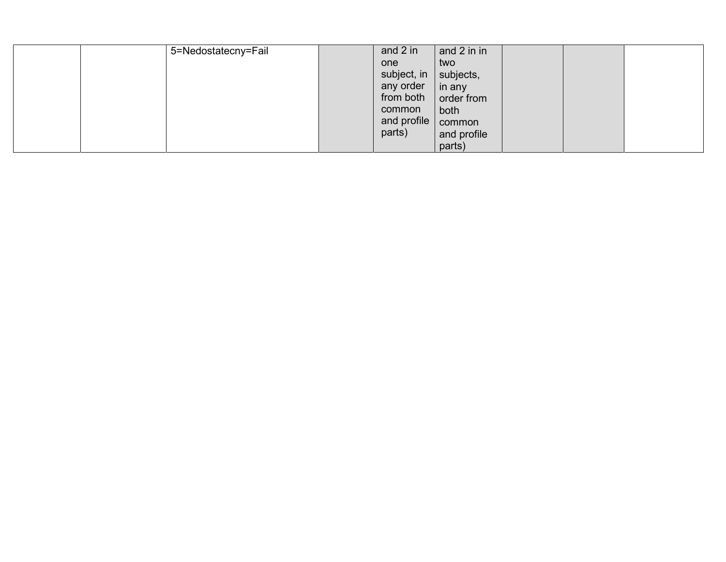| 5=Nedostatecny=Fail | and 2 in    | and 2 in in |  |  |
|---------------------|-------------|-------------|--|--|
|                     | one         | two         |  |  |
|                     | subject, in | subjects,   |  |  |
|                     | any order   | in any      |  |  |
|                     | from both   | order from  |  |  |
|                     | common      | both        |  |  |
|                     | and profile | common      |  |  |
|                     | parts)      | and profile |  |  |
|                     |             | parts)      |  |  |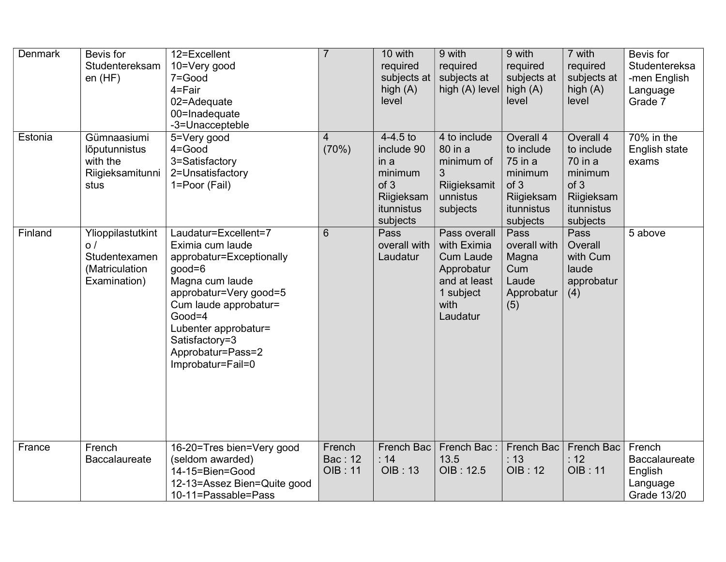| <b>Denmark</b> | Bevis for<br>Studentereksam<br>en(HF)                                             | 12=Excellent<br>10=Very good<br>7=Good<br>4=Fair<br>02=Adequate<br>00=Inadequate<br>-3=Unaccepteble                                                                                                                                                    | $\overline{7}$                             | 10 with<br>required<br>subjects at<br>high $(A)$<br>level                                   | 9 with<br>required<br>subjects at<br>high (A) level                                                            | 9 with<br>required<br>subjects at<br>high $(A)$<br>level                                      | 7 with<br>required<br>subjects at<br>high $(A)$<br>level                                      | Bevis for<br>Studentereksa<br>-men English<br>Language<br>Grade 7           |
|----------------|-----------------------------------------------------------------------------------|--------------------------------------------------------------------------------------------------------------------------------------------------------------------------------------------------------------------------------------------------------|--------------------------------------------|---------------------------------------------------------------------------------------------|----------------------------------------------------------------------------------------------------------------|-----------------------------------------------------------------------------------------------|-----------------------------------------------------------------------------------------------|-----------------------------------------------------------------------------|
| Estonia        | Gümnaasiumi<br>lõputunnistus<br>with the<br>Riigieksamitunni<br>stus              | 5=Very good<br>$4 = Good$<br>3=Satisfactory<br>2=Unsatisfactory<br>1=Poor (Fail)                                                                                                                                                                       | 4<br>(70%)                                 | $4-4.5$ to<br>include 90<br>in a<br>minimum<br>of 3<br>Riigieksam<br>itunnistus<br>subjects | 4 to include<br>80 in a<br>minimum of<br>3<br>Riigieksamit<br>unnistus<br>subjects                             | Overall 4<br>to include<br>75 in a<br>minimum<br>of 3<br>Riigieksam<br>itunnistus<br>subjects | Overall 4<br>to include<br>70 in a<br>minimum<br>of 3<br>Riigieksam<br>itunnistus<br>subjects | $70\%$ in the<br>English state<br>exams                                     |
| Finland        | Ylioppilastutkint<br>$\circ$ /<br>Studentexamen<br>(Matriculation<br>Examination) | Laudatur=Excellent=7<br>Eximia cum laude<br>approbatur=Exceptionally<br>$good=6$<br>Magna cum laude<br>approbatur=Very good=5<br>Cum laude approbatur=<br>$Good=4$<br>Lubenter approbatur=<br>Satisfactory=3<br>Approbatur=Pass=2<br>Improbatur=Fail=0 | 6                                          | Pass<br>overall with<br>Laudatur                                                            | Pass overall<br>with Eximia<br><b>Cum Laude</b><br>Approbatur<br>and at least<br>1 subject<br>with<br>Laudatur | Pass<br>overall with<br>Magna<br>Cum<br>Laude<br>Approbatur<br>(5)                            | Pass<br>Overall<br>with Cum<br>laude<br>approbatur<br>(4)                                     | 5 above                                                                     |
| France         | French<br><b>Baccalaureate</b>                                                    | 16-20=Tres bien=Very good<br>(seldom awarded)<br>14-15=Bien=Good<br>12-13=Assez Bien=Quite good<br>10-11=Passable=Pass                                                                                                                                 | French<br><b>Bac: 12</b><br><b>OIB: 11</b> | French Bac<br>: 14<br><b>OIB: 13</b>                                                        | French Bac:<br>13.5<br>OIB: 12.5                                                                               | <b>French Bac</b><br>: 13<br><b>OIB: 12</b>                                                   | <b>French Bac</b><br>: 12<br><b>OIB: 11</b>                                                   | French<br><b>Baccalaureate</b><br>English<br>Language<br><b>Grade 13/20</b> |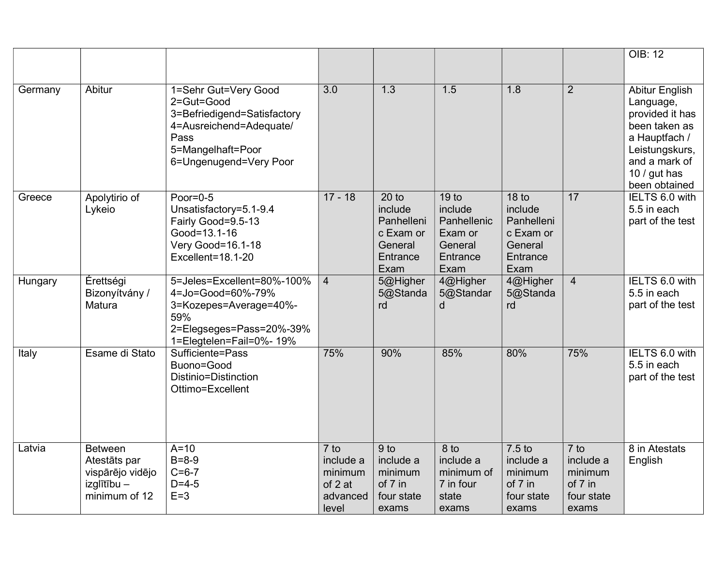|         |                                                                                    |                                                                                                                                                     |                                                                |                                                                              |                                                                                      |                                                                                       |                                                                | <b>OIB: 12</b>                                                                                                                                       |
|---------|------------------------------------------------------------------------------------|-----------------------------------------------------------------------------------------------------------------------------------------------------|----------------------------------------------------------------|------------------------------------------------------------------------------|--------------------------------------------------------------------------------------|---------------------------------------------------------------------------------------|----------------------------------------------------------------|------------------------------------------------------------------------------------------------------------------------------------------------------|
|         |                                                                                    |                                                                                                                                                     |                                                                |                                                                              |                                                                                      |                                                                                       |                                                                |                                                                                                                                                      |
| Germany | Abitur                                                                             | 1=Sehr Gut=Very Good<br>2=Gut=Good<br>3=Befriedigend=Satisfactory<br>4=Ausreichend=Adequate/<br>Pass<br>5=Mangelhaft=Poor<br>6=Ungenugend=Very Poor | $\overline{3.0}$                                               | 1.3                                                                          | 1.5                                                                                  | 1.8                                                                                   | $\overline{2}$                                                 | Abitur English<br>Language,<br>provided it has<br>been taken as<br>a Hauptfach /<br>Leistungskurs,<br>and a mark of<br>10 / gut has<br>been obtained |
| Greece  | Apolytirio of<br>Lykeio                                                            | Poor= $0-5$<br>Unsatisfactory=5.1-9.4<br>Fairly Good=9.5-13<br>Good=13.1-16<br>Very Good=16.1-18<br>Excellent=18.1-20                               | $17 - 18$                                                      | $20$ to<br>include<br>Panhelleni<br>c Exam or<br>General<br>Entrance<br>Exam | 19 <sub>to</sub><br>include<br>Panhellenic<br>Exam or<br>General<br>Entrance<br>Exam | 18 <sub>to</sub><br>include<br>Panhelleni<br>c Exam or<br>General<br>Entrance<br>Exam | 17                                                             | IELTS 6.0 with<br>5.5 in each<br>part of the test                                                                                                    |
| Hungary | Érettségi<br>Bizonyítvány /<br>Matura                                              | 5=Jeles=Excellent=80%-100%<br>4=Jo=Good=60%-79%<br>3=Kozepes=Average=40%-<br>59%<br>2=Elegseges=Pass=20%-39%<br>1=Elegtelen=Fail=0%- 19%            | $\overline{4}$                                                 | 5@Higher<br>5@Standa<br>rd                                                   | 4@Higher<br>5@Standar<br>d                                                           | 4@Higher<br>5@Standa<br>rd                                                            | $\overline{4}$                                                 | IELTS 6.0 with<br>5.5 in each<br>part of the test                                                                                                    |
| Italy   | Esame di Stato                                                                     | Sufficiente=Pass<br>Buono=Good<br>Distinio=Distinction<br>Ottimo=Excellent                                                                          | 75%                                                            | 90%                                                                          | 85%                                                                                  | 80%                                                                                   | 75%                                                            | IELTS 6.0 with<br>5.5 in each<br>part of the test                                                                                                    |
| Latvia  | <b>Between</b><br>Atestāts par<br>vispārējo vidējo<br>izglītību -<br>minimum of 12 | $A=10$<br>$B = 8 - 9$<br>$C = 6 - 7$<br>$D = 4-5$<br>$E=3$                                                                                          | $7$ to<br>include a<br>minimum<br>of 2 at<br>advanced<br>level | 9 <sub>to</sub><br>include a<br>minimum<br>of 7 in<br>four state<br>exams    | 8 to<br>include a<br>minimum of<br>7 in four<br>state<br>exams                       | 7.5 to<br>include a<br>minimum<br>of 7 in<br>four state<br>exams                      | 7 to<br>include a<br>minimum<br>of 7 in<br>four state<br>exams | 8 in Atestats<br>English                                                                                                                             |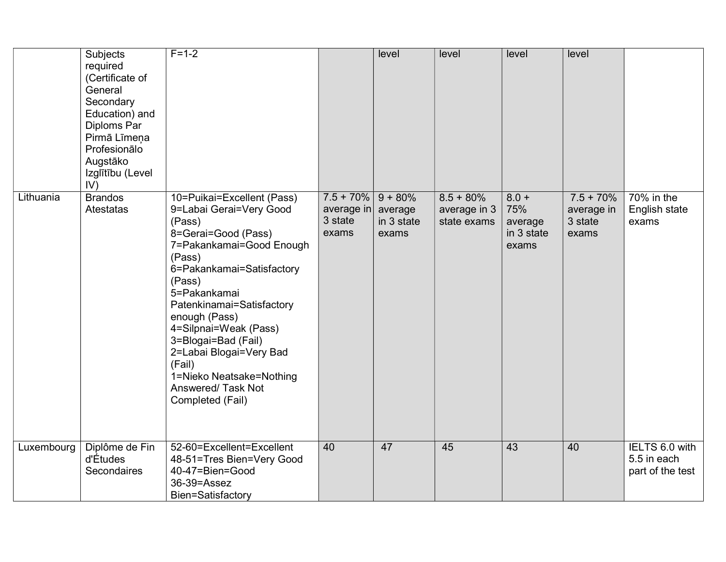|            | Subjects<br>required<br>(Certificate of<br>General<br>Secondary<br>Education) and<br>Diploms Par<br>Pirmā Līmeņa<br>Profesionālo<br>Augstāko<br>Izglītību (Level<br>IV) | $F = 1 - 2$                                                                                                                                                                                                                                                                                                                                                                                  |                                                | level                                       | level                                       | level                                            | level                                         |                                                   |
|------------|-------------------------------------------------------------------------------------------------------------------------------------------------------------------------|----------------------------------------------------------------------------------------------------------------------------------------------------------------------------------------------------------------------------------------------------------------------------------------------------------------------------------------------------------------------------------------------|------------------------------------------------|---------------------------------------------|---------------------------------------------|--------------------------------------------------|-----------------------------------------------|---------------------------------------------------|
| Lithuania  | <b>Brandos</b><br><b>Atestatas</b>                                                                                                                                      | 10=Puikai=Excellent (Pass)<br>9=Labai Gerai=Very Good<br>(Pass)<br>8=Gerai=Good (Pass)<br>7=Pakankamai=Good Enough<br>(Pass)<br>6=Pakankamai=Satisfactory<br>(Pass)<br>5=Pakankamai<br>Patenkinamai=Satisfactory<br>enough (Pass)<br>4=Silpnai=Weak (Pass)<br>3=Blogai=Bad (Fail)<br>2=Labai Blogai=Very Bad<br>(Fail)<br>1=Nieko Neatsake=Nothing<br>Answered/ Task Not<br>Completed (Fail) | $7.5 + 70\%$<br>average in<br>3 state<br>exams | $9 + 80%$<br>average<br>in 3 state<br>exams | $8.5 + 80\%$<br>average in 3<br>state exams | $8.0 +$<br>75%<br>average<br>in 3 state<br>exams | $7.5 + 70%$<br>average in<br>3 state<br>exams | 70% in the<br>English state<br>exams              |
| Luxembourg | Diplôme de Fin<br>d'Études<br>Secondaires                                                                                                                               | 52-60=Excellent=Excellent<br>48-51=Tres Bien=Very Good<br>40-47=Bien=Good<br>36-39=Assez<br>Bien=Satisfactory                                                                                                                                                                                                                                                                                | 40                                             | 47                                          | 45                                          | 43                                               | 40                                            | IELTS 6.0 with<br>5.5 in each<br>part of the test |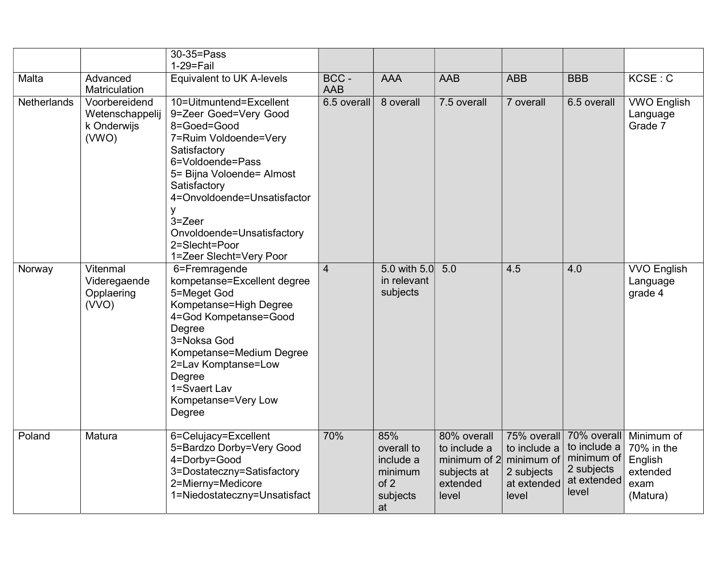|                    |                                                          | 30-35=Pass<br>$1-29 = Fail$                                                                                                                                                                                                                                                                       |                     |                                                                     |                                                                                 |                                                                                 |                                                                                 |                                                                     |
|--------------------|----------------------------------------------------------|---------------------------------------------------------------------------------------------------------------------------------------------------------------------------------------------------------------------------------------------------------------------------------------------------|---------------------|---------------------------------------------------------------------|---------------------------------------------------------------------------------|---------------------------------------------------------------------------------|---------------------------------------------------------------------------------|---------------------------------------------------------------------|
| Malta              | Advanced<br>Matriculation                                | Equivalent to UK A-levels                                                                                                                                                                                                                                                                         | BCC -<br><b>AAB</b> | <b>AAA</b>                                                          | <b>AAB</b>                                                                      | <b>ABB</b>                                                                      | <b>BBB</b>                                                                      | KCSE: C                                                             |
| <b>Netherlands</b> | Voorbereidend<br>Wetenschappelij<br>k Onderwijs<br>(WNO) | 10=Uitmuntend=Excellent<br>9=Zeer Goed=Very Good<br>8=Goed=Good<br>7=Ruim Voldoende=Very<br>Satisfactory<br>6=Voldoende=Pass<br>5= Bijna Voloende= Almost<br>Satisfactory<br>4=Onvoldoende=Unsatisfactor<br>У<br>3=Zeer<br>Onvoldoende=Unsatisfactory<br>2=Slecht=Poor<br>1=Zeer Slecht=Very Poor | 6.5 overall         | 8 overall                                                           | 7.5 overall                                                                     | 7 overall                                                                       | 6.5 overall                                                                     | <b>VWO English</b><br>Language<br>Grade 7                           |
| Norway             | Vitenmal<br>Videregaende<br>Opplaering<br>(VVO)          | 6=Fremragende<br>kompetanse=Excellent degree<br>5=Meget God<br>Kompetanse=High Degree<br>4=God Kompetanse=Good<br>Degree<br>3=Noksa God<br>Kompetanse=Medium Degree<br>2=Lav Komptanse=Low<br>Degree<br>1=Svaert Lav<br>Kompetanse=Very Low<br>Degree                                             | $\overline{4}$      | 5.0 with 5.0<br>in relevant<br>subjects                             | 5.0                                                                             | 4.5                                                                             | 4.0                                                                             | <b>VVO English</b><br>Language<br>grade 4                           |
| Poland             | Matura                                                   | 6=Celujacy=Excellent<br>5=Bardzo Dorby=Very Good<br>4=Dorby=Good<br>3=Dostateczny=Satisfactory<br>2=Mierny=Medicore<br>1=Niedostateczny=Unsatisfact                                                                                                                                               | 70%                 | 85%<br>overall to<br>include a<br>minimum<br>of 2<br>subjects<br>at | 80% overall<br>to include a<br>minimum of 2<br>subjects at<br>extended<br>level | 75% overall<br>to include a<br>minimum of<br>2 subjects<br>at extended<br>level | 70% overall<br>to include a<br>minimum of<br>2 subjects<br>at extended<br>level | Minimum of<br>70% in the<br>English<br>extended<br>exam<br>(Matura) |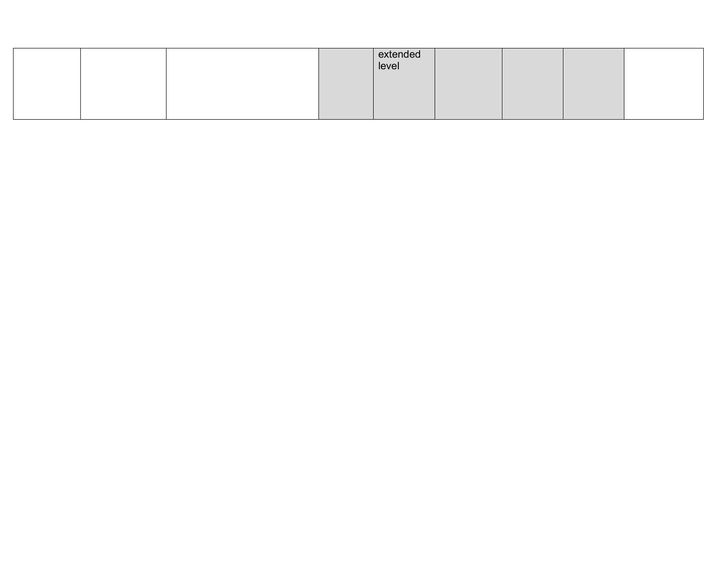|  |  | extended<br>level |  |  |
|--|--|-------------------|--|--|
|  |  |                   |  |  |
|  |  |                   |  |  |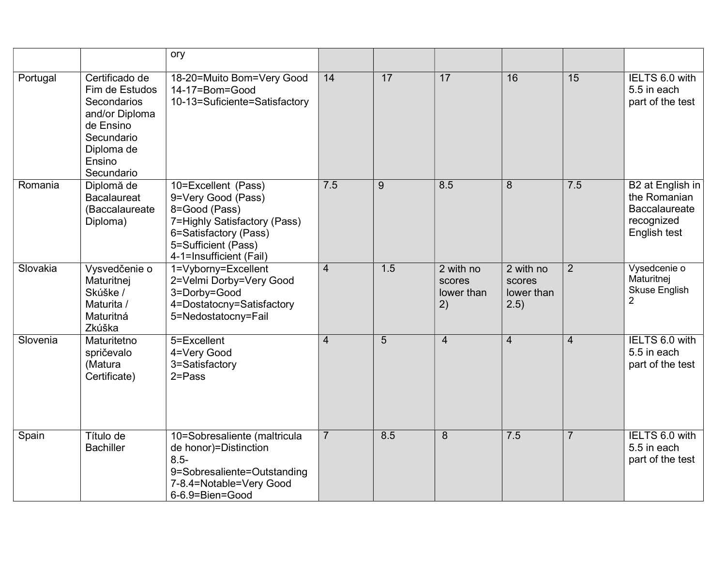|          |                                                                                                                                    | ory                                                                                                                                                                   |                |     |                                         |                                           |                |                                                                                        |
|----------|------------------------------------------------------------------------------------------------------------------------------------|-----------------------------------------------------------------------------------------------------------------------------------------------------------------------|----------------|-----|-----------------------------------------|-------------------------------------------|----------------|----------------------------------------------------------------------------------------|
| Portugal | Certificado de<br>Fim de Estudos<br>Secondarios<br>and/or Diploma<br>de Ensino<br>Secundario<br>Diploma de<br>Ensino<br>Secundario | 18-20=Muito Bom=Very Good<br>14-17=Bom=Good<br>10-13=Suficiente=Satisfactory                                                                                          | 14             | 17  | 17                                      | 16                                        | 15             | IELTS 6.0 with<br>5.5 in each<br>part of the test                                      |
| Romania  | Diplomă de<br><b>Bacalaureat</b><br>(Baccalaureate<br>Diploma)                                                                     | 10=Excellent (Pass)<br>9=Very Good (Pass)<br>8=Good (Pass)<br>7=Highly Satisfactory (Pass)<br>6=Satisfactory (Pass)<br>5=Sufficient (Pass)<br>4-1=Insufficient (Fail) | 7.5            | 9   | 8.5                                     | 8                                         | 7.5            | B2 at English in<br>the Romanian<br><b>Baccalaureate</b><br>recognized<br>English test |
| Slovakia | Vysvedčenie o<br>Maturitnej<br>Skúške /<br>Maturita /<br>Maturitná<br>Zkúška                                                       | 1=Vyborny=Excellent<br>2=Velmi Dorby=Very Good<br>3=Dorby=Good<br>4=Dostatocny=Satisfactory<br>5=Nedostatocny=Fail                                                    | $\overline{4}$ | 1.5 | 2 with no<br>scores<br>lower than<br>2) | 2 with no<br>scores<br>lower than<br>2.5) | $\overline{2}$ | Vysedcenie o<br>Maturitnej<br><b>Skuse English</b><br>$\overline{2}$                   |
| Slovenia | Maturitetno<br>spričevalo<br>(Matura<br>Certificate)                                                                               | 5=Excellent<br>4=Very Good<br>3=Satisfactory<br>$2 = Pass$                                                                                                            | $\overline{4}$ | 5   | $\overline{4}$                          | $\overline{4}$                            | $\overline{4}$ | IELTS 6.0 with<br>5.5 in each<br>part of the test                                      |
| Spain    | Título de<br><b>Bachiller</b>                                                                                                      | 10=Sobresaliente (maltricula<br>de honor)=Distinction<br>$8.5 -$<br>9=Sobresaliente=Outstanding<br>7-8.4=Notable=Very Good<br>6-6.9=Bien=Good                         | $\overline{7}$ | 8.5 | 8                                       | 7.5                                       | $\overline{7}$ | IELTS 6.0 with<br>5.5 in each<br>part of the test                                      |